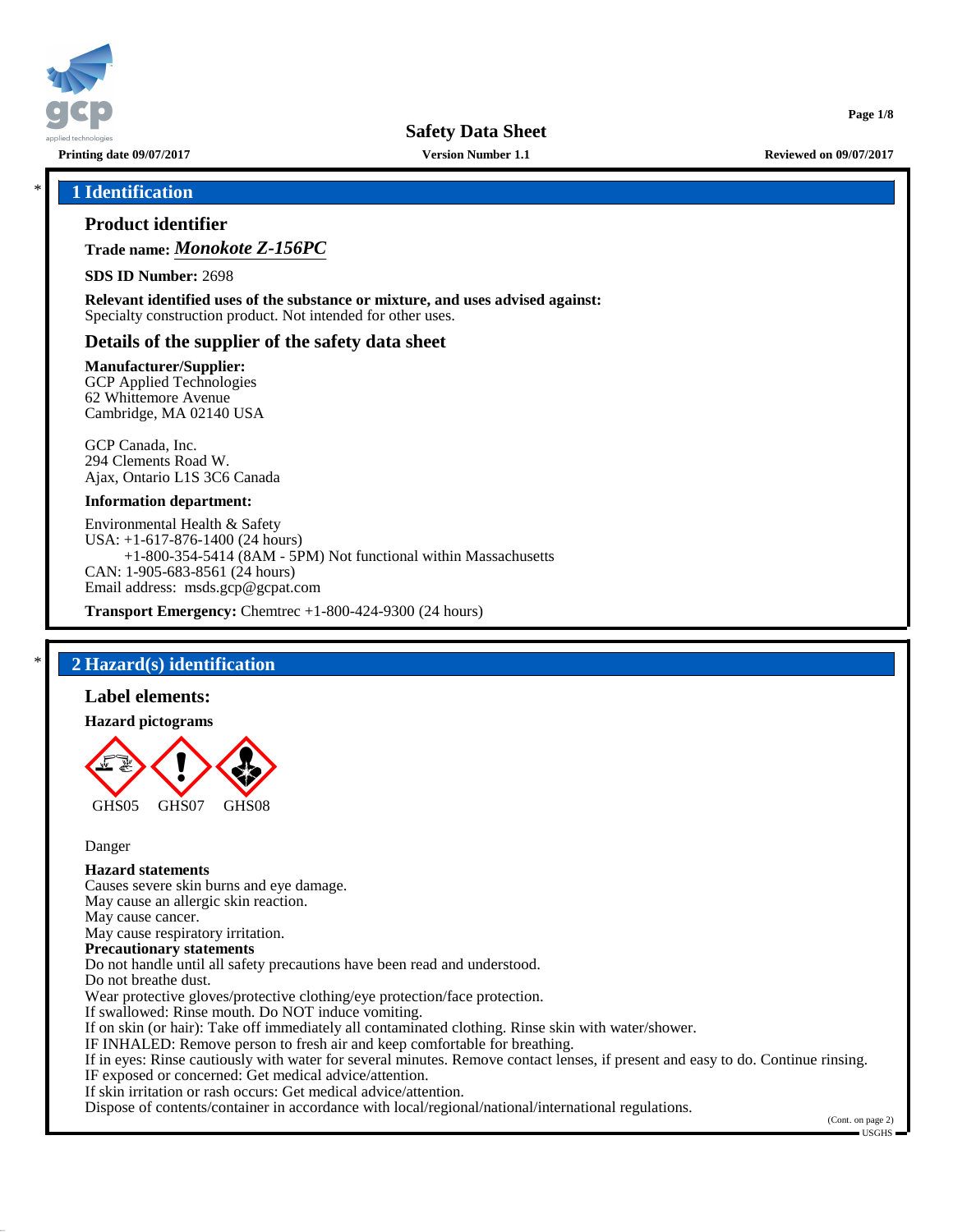

**Printing date 09/07/2017 Version Number 1.1 Reviewed on 09/07/2017**

**Page 1/8**

## \* **1 Identification**

## **Product identifier**

**Trade name:** *Monokote Z-156PC*

**SDS ID Number:** 2698

**Relevant identified uses of the substance or mixture, and uses advised against:** Specialty construction product. Not intended for other uses.

## **Details of the supplier of the safety data sheet**

#### **Manufacturer/Supplier:**

GCP Applied Technologies 62 Whittemore Avenue Cambridge, MA 02140 USA

GCP Canada, Inc. 294 Clements Road W. Ajax, Ontario L1S 3C6 Canada

#### **Information department:**

Environmental Health & Safety USA: +1-617-876-1400 (24 hours) +1-800-354-5414 (8AM - 5PM) Not functional within Massachusetts CAN: 1-905-683-8561 (24 hours) Email address: msds.gcp@gcpat.com

**Transport Emergency:** Chemtrec +1-800-424-9300 (24 hours)

## \* **2 Hazard(s) identification**

### **Label elements:**

#### **Hazard pictograms**



Danger

# **Hazard statements**

Causes severe skin burns and eye damage. May cause an allergic skin reaction. May cause cancer. May cause respiratory irritation. **Precautionary statements** Do not handle until all safety precautions have been read and understood. Do not breathe dust. Wear protective gloves/protective clothing/eye protection/face protection. If swallowed: Rinse mouth. Do NOT induce vomiting. If on skin (or hair): Take off immediately all contaminated clothing. Rinse skin with water/shower. IF INHALED: Remove person to fresh air and keep comfortable for breathing. If in eyes: Rinse cautiously with water for several minutes. Remove contact lenses, if present and easy to do. Continue rinsing. IF exposed or concerned: Get medical advice/attention. If skin irritation or rash occurs: Get medical advice/attention.

Dispose of contents/container in accordance with local/regional/national/international regulations.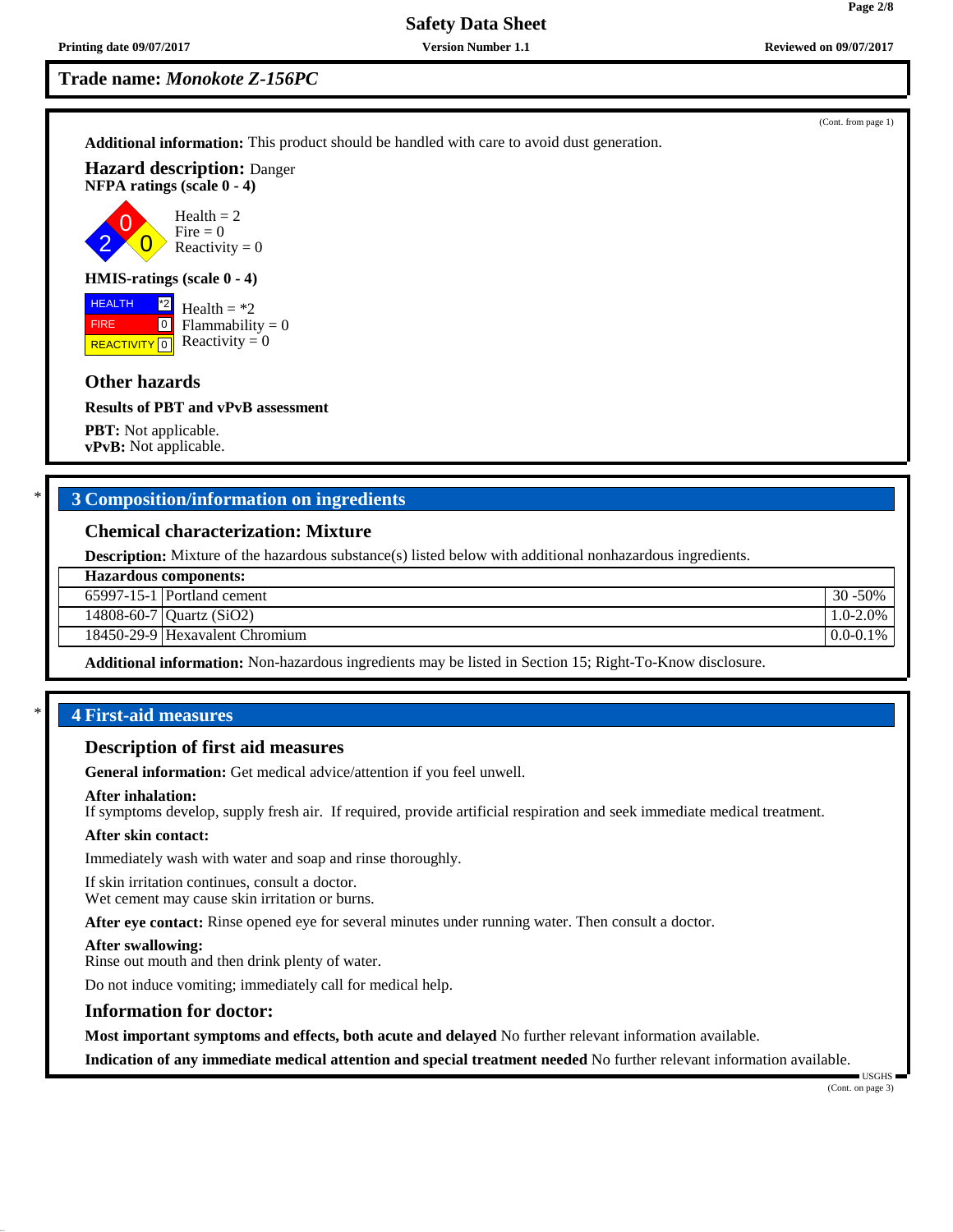2 0

**HEALTH** FIRE

**Trade name:** *Monokote Z-156PC*

**Additional information:** This product should be handled with care to avoid dust generation.

**Hazard description:** Danger **NFPA ratings (scale 0 - 4)**

> $\overline{\mathbf{0}}$  $Health = 2$ Fire  $= 0$ Reactivity  $= 0$

## **HMIS-ratings (scale 0 - 4)**

**REACTIVITY** 0 \*2  $\boxed{0}$ Health  $=$  \*2  $Flammability = 0$ Reactivity  $= 0$ 

## **Other hazards**

#### **Results of PBT and vPvB assessment**

**PBT:** Not applicable. **vPvB:** Not applicable.

## \* **3 Composition/information on ingredients**

## **Chemical characterization: Mixture**

**Description:** Mixture of the hazardous substance(s) listed below with additional nonhazardous ingredients.

65997-15-1 Portland cement 30 -50%

14808-60-7 Quartz (SiO2) 1.0-2.0%

18450-29-9 Hexavalent Chromium and a control of the control of the control of the control of the control of the control of the control of the control of the control of the control of the control of the control of the contr

**Additional information:** Non-hazardous ingredients may be listed in Section 15; Right-To-Know disclosure.

### \* **4 First-aid measures**

### **Description of first aid measures**

**General information:** Get medical advice/attention if you feel unwell.

#### **After inhalation:**

If symptoms develop, supply fresh air. If required, provide artificial respiration and seek immediate medical treatment.

#### **After skin contact:**

Immediately wash with water and soap and rinse thoroughly.

If skin irritation continues, consult a doctor. Wet cement may cause skin irritation or burns.

**After eye contact:** Rinse opened eye for several minutes under running water. Then consult a doctor.

#### **After swallowing:**

Rinse out mouth and then drink plenty of water.

Do not induce vomiting; immediately call for medical help.

#### **Information for doctor:**

**Most important symptoms and effects, both acute and delayed** No further relevant information available.

**Indication of any immediate medical attention and special treatment needed** No further relevant information available.

(Cont. from page 1)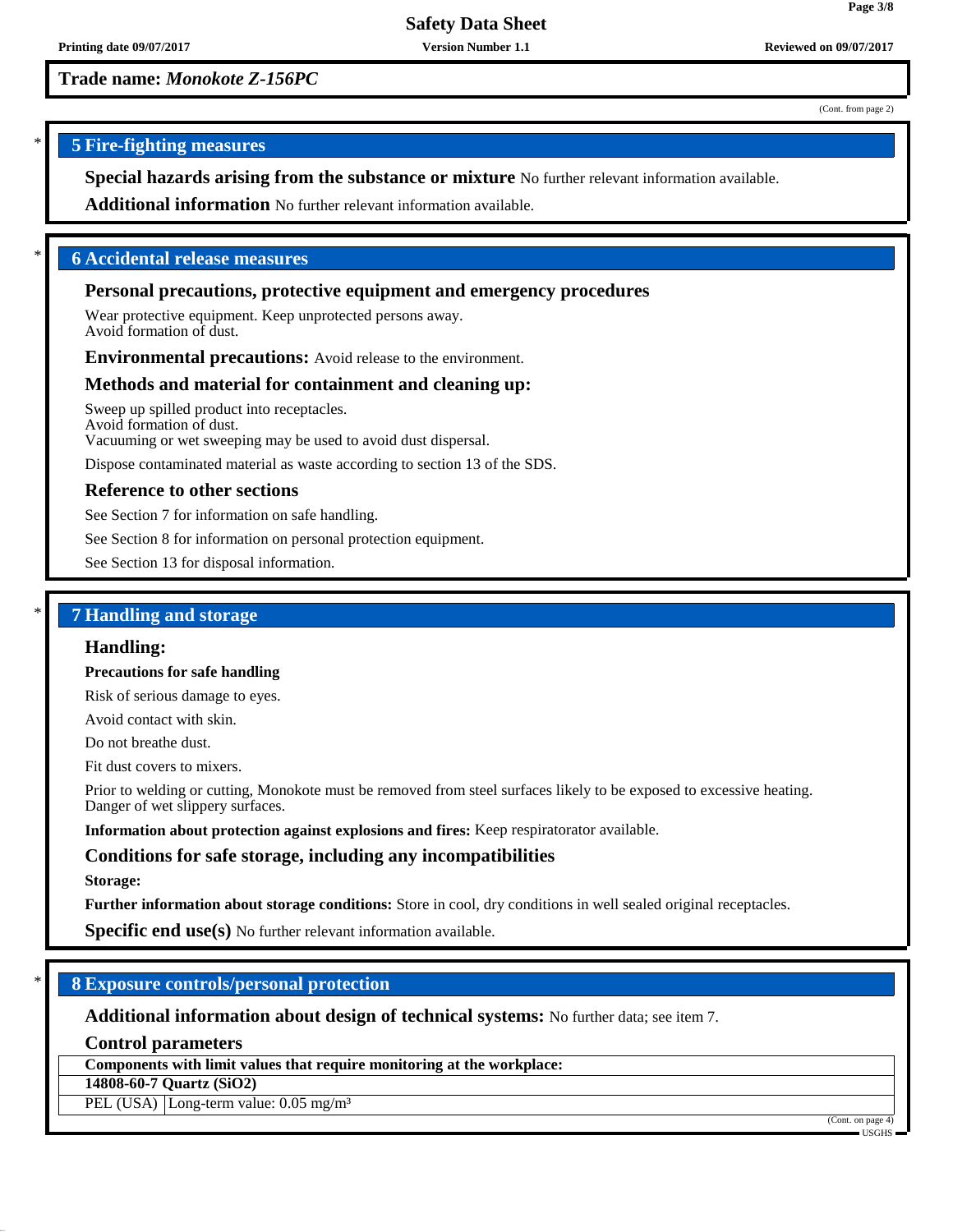**Trade name:** *Monokote Z-156PC*

(Cont. from page 2)

**Page 3/8**

# \* **5 Fire-fighting measures**

**Special hazards arising from the substance or mixture** No further relevant information available.

**Additional information** No further relevant information available.

## \* **6 Accidental release measures**

## **Personal precautions, protective equipment and emergency procedures**

Wear protective equipment. Keep unprotected persons away. Avoid formation of dust.

**Environmental precautions:** Avoid release to the environment.

## **Methods and material for containment and cleaning up:**

Sweep up spilled product into receptacles. Avoid formation of dust. Vacuuming or wet sweeping may be used to avoid dust dispersal.

Dispose contaminated material as waste according to section 13 of the SDS.

## **Reference to other sections**

See Section 7 for information on safe handling.

See Section 8 for information on personal protection equipment.

See Section 13 for disposal information.

## \* **7 Handling and storage**

#### **Handling:**

**Precautions for safe handling**

Risk of serious damage to eyes.

Avoid contact with skin.

Do not breathe dust.

Fit dust covers to mixers.

Prior to welding or cutting, Monokote must be removed from steel surfaces likely to be exposed to excessive heating. Danger of wet slippery surfaces.

**Information about protection against explosions and fires:** Keep respiratorator available.

## **Conditions for safe storage, including any incompatibilities**

#### **Storage:**

**Further information about storage conditions:** Store in cool, dry conditions in well sealed original receptacles.

**Specific end use(s)** No further relevant information available.

## \* **8 Exposure controls/personal protection**

**Additional information about design of technical systems:** No further data; see item 7.

**Control parameters**

**Components with limit values that require monitoring at the workplace:**

**14808-60-7 Quartz (SiO2)**

PEL (USA) Long-term value: 0.05 mg/m<sup>3</sup>

(Cont. on page 4)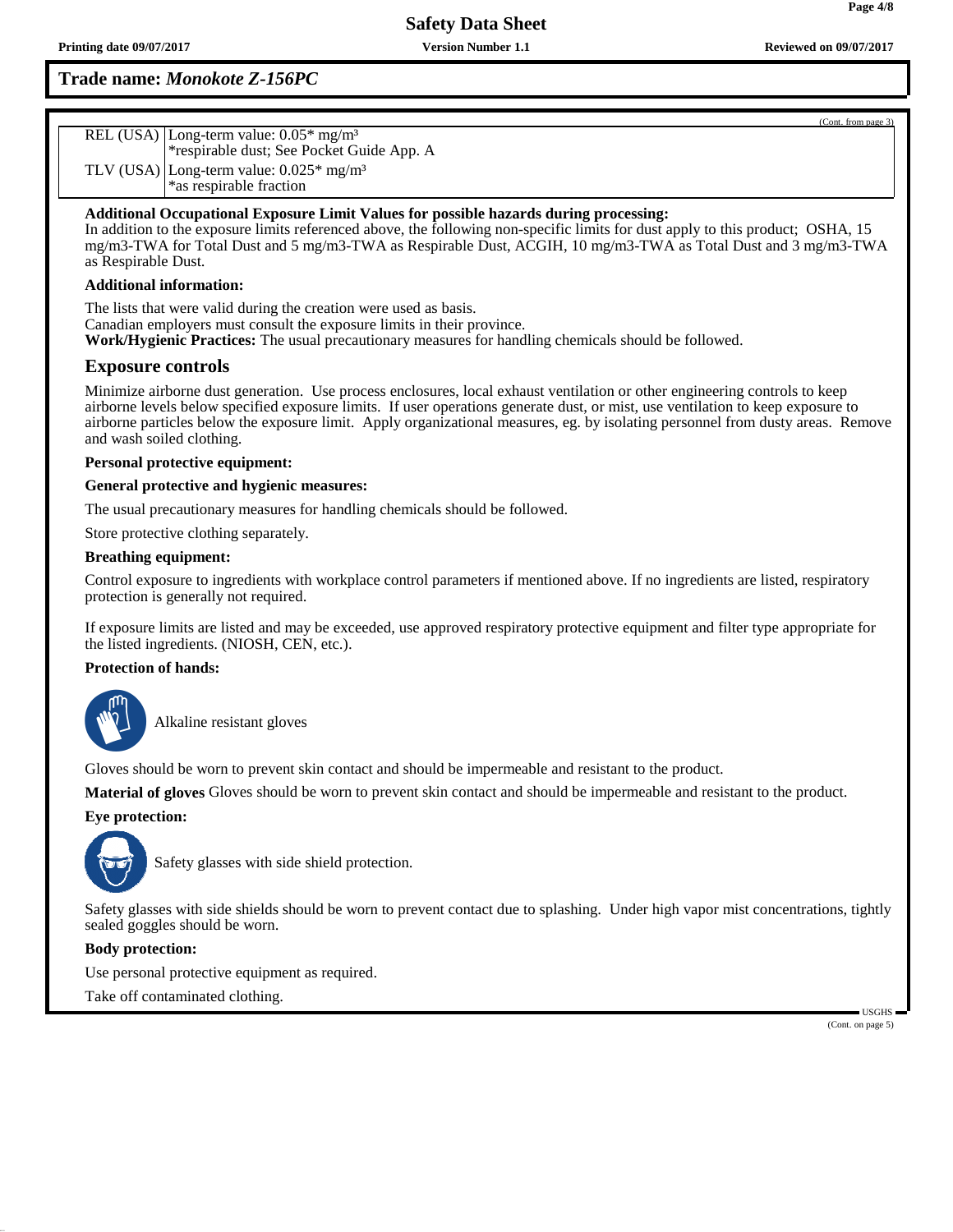# **Trade name:** *Monokote Z-156PC*

| REL (USA) Long-term value: 0.05* mg/m <sup>3</sup><br>*respirable dust; See Pocket Guide App. A |
|-------------------------------------------------------------------------------------------------|
| TLV (USA) Long-term value: $0.025*$ mg/m <sup>3</sup>                                           |
| *as respirable fraction                                                                         |

## **Additional Occupational Exposure Limit Values for possible hazards during processing:**

In addition to the exposure limits referenced above, the following non-specific limits for dust apply to this product; OSHA, 15 mg/m3-TWA for Total Dust and 5 mg/m3-TWA as Respirable Dust, ACGIH, 10 mg/m3-TWA as Total Dust and 3 mg/m3-TWA as Respirable Dust.

### **Additional information:**

The lists that were valid during the creation were used as basis. Canadian employers must consult the exposure limits in their province. **Work/Hygienic Practices:** The usual precautionary measures for handling chemicals should be followed.

## **Exposure controls**

Minimize airborne dust generation. Use process enclosures, local exhaust ventilation or other engineering controls to keep airborne levels below specified exposure limits. If user operations generate dust, or mist, use ventilation to keep exposure to airborne particles below the exposure limit. Apply organizational measures, eg. by isolating personnel from dusty areas. Remove and wash soiled clothing.

### **Personal protective equipment:**

### **General protective and hygienic measures:**

The usual precautionary measures for handling chemicals should be followed.

Store protective clothing separately.

### **Breathing equipment:**

Control exposure to ingredients with workplace control parameters if mentioned above. If no ingredients are listed, respiratory protection is generally not required.

If exposure limits are listed and may be exceeded, use approved respiratory protective equipment and filter type appropriate for the listed ingredients. (NIOSH, CEN, etc.).

## **Protection of hands:**



\_SAlkaline resistant gloves

Gloves should be worn to prevent skin contact and should be impermeable and resistant to the product.

**Material of gloves** Gloves should be worn to prevent skin contact and should be impermeable and resistant to the product.

## **Eye protection:**



Safety glasses with side shield protection.

Safety glasses with side shields should be worn to prevent contact due to splashing. Under high vapor mist concentrations, tightly sealed goggles should be worn.

### **Body protection:**

Use personal protective equipment as required.

Take off contaminated clothing.

 USGHS (Cont. on page 5)

(Cont. from page 3)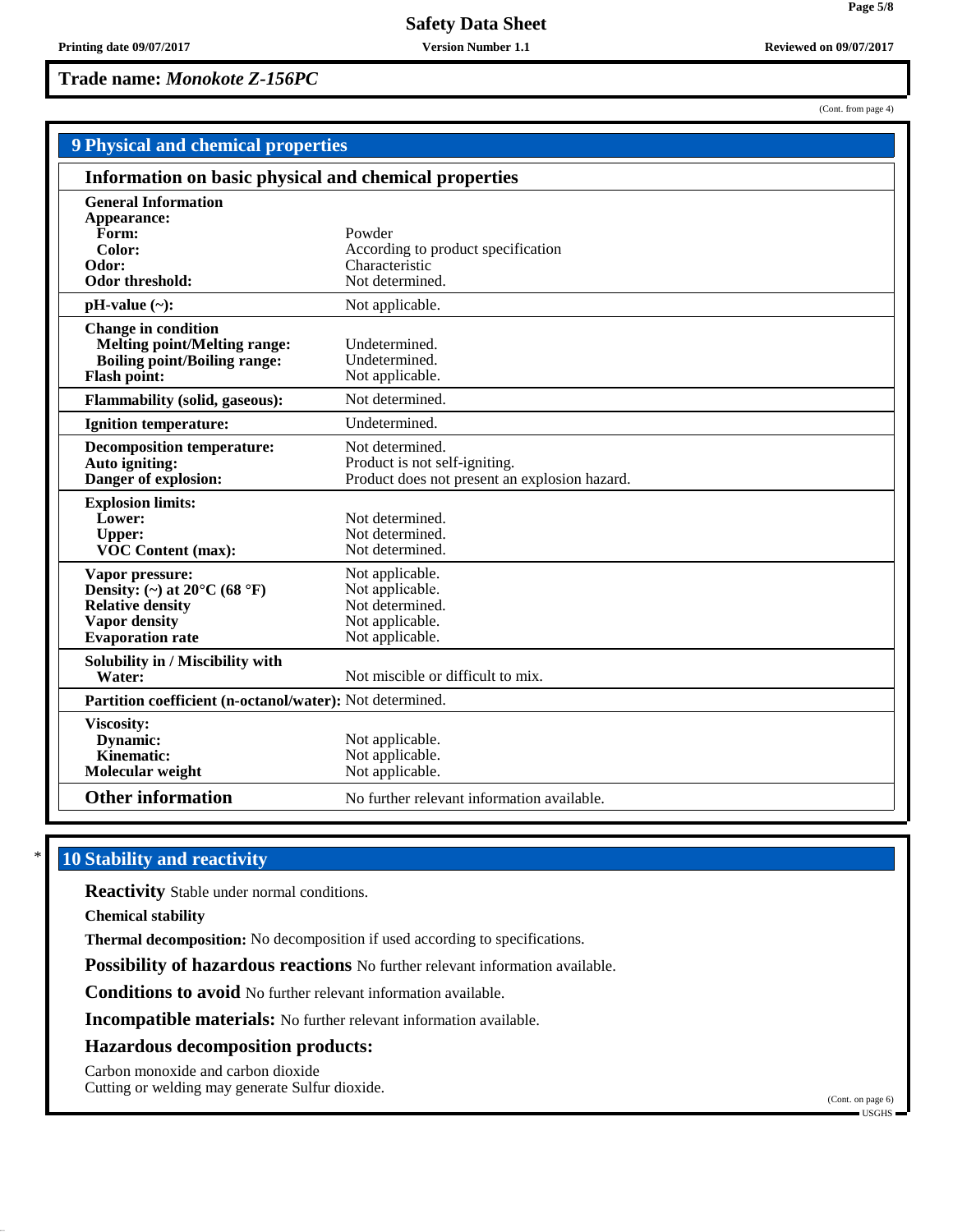**Trade name:** *Monokote Z-156PC*

| <b>9 Physical and chemical properties</b>                                                                                                  |                                                                                                   |  |  |
|--------------------------------------------------------------------------------------------------------------------------------------------|---------------------------------------------------------------------------------------------------|--|--|
| Information on basic physical and chemical properties                                                                                      |                                                                                                   |  |  |
| <b>General Information</b><br>Appearance:<br>Form:<br>Color:<br>Odor:<br>Odor threshold:                                                   | Powder<br>According to product specification<br>Characteristic<br>Not determined.                 |  |  |
| $pH-value$ (~):                                                                                                                            | Not applicable.                                                                                   |  |  |
| <b>Change in condition</b><br><b>Melting point/Melting range:</b><br><b>Boiling point/Boiling range:</b><br><b>Flash point:</b>            | Undetermined.<br>Undetermined.<br>Not applicable.                                                 |  |  |
| <b>Flammability (solid, gaseous):</b>                                                                                                      | Not determined.                                                                                   |  |  |
| <b>Ignition temperature:</b>                                                                                                               | Undetermined.                                                                                     |  |  |
| <b>Decomposition temperature:</b><br>Auto igniting:<br>Danger of explosion:                                                                | Not determined.<br>Product is not self-igniting.<br>Product does not present an explosion hazard. |  |  |
| <b>Explosion limits:</b><br>Lower:<br><b>Upper:</b><br><b>VOC Content (max):</b>                                                           | Not determined.<br>Not determined.<br>Not determined.                                             |  |  |
| Vapor pressure:<br>Density: (~) at $20^{\circ}$ C (68 $^{\circ}$ F)<br><b>Relative density</b><br>Vapor density<br><b>Evaporation</b> rate | Not applicable.<br>Not applicable.<br>Not determined.<br>Not applicable.<br>Not applicable.       |  |  |
| Solubility in / Miscibility with<br>Water:                                                                                                 | Not miscible or difficult to mix.                                                                 |  |  |
| Partition coefficient (n-octanol/water): Not determined.                                                                                   |                                                                                                   |  |  |
| Viscosity:<br><b>Dynamic:</b><br><b>Kinematic:</b><br>Molecular weight                                                                     | Not applicable.<br>Not applicable.<br>Not applicable.                                             |  |  |
| <b>Other information</b>                                                                                                                   | No further relevant information available.                                                        |  |  |

# **10 Stability and reactivity**

**Reactivity** Stable under normal conditions.

**Chemical stability**

**Thermal decomposition:** No decomposition if used according to specifications.

**Possibility of hazardous reactions** No further relevant information available.

**Conditions to avoid** No further relevant information available.

**Incompatible materials:** No further relevant information available.

## **Hazardous decomposition products:**

Carbon monoxide and carbon dioxide

Cutting or welding may generate Sulfur dioxide.

(Cont. from page 4)

(Cont. on page 6) USGHS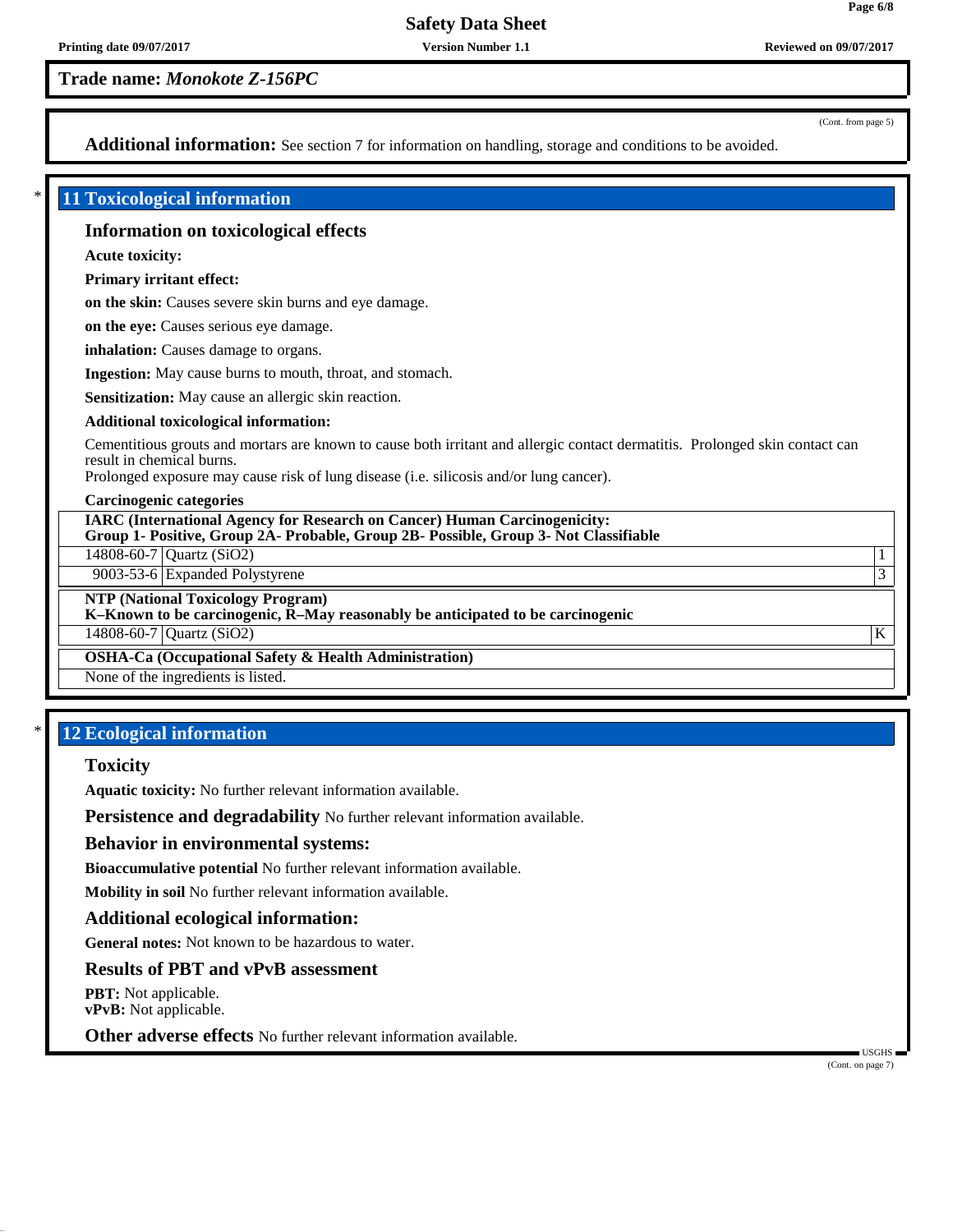**Trade name:** *Monokote Z-156PC*

(Cont. from page 5)

**Page 6/8**

Additional information: See section 7 for information on handling, storage and conditions to be avoided.

## \* **11 Toxicological information**

## **Information on toxicological effects**

**Acute toxicity:**

**Primary irritant effect:**

**on the skin:** Causes severe skin burns and eye damage.

**on the eye:** Causes serious eye damage.

**inhalation:** Causes damage to organs.

**Ingestion:** May cause burns to mouth, throat, and stomach.

**Sensitization:** May cause an allergic skin reaction.

#### **Additional toxicological information:**

Cementitious grouts and mortars are known to cause both irritant and allergic contact dermatitis. Prolonged skin contact can result in chemical burns.

Prolonged exposure may cause risk of lung disease (i.e. silicosis and/or lung cancer).

#### **Carcinogenic categories**

**IARC (International Agency for Research on Cancer) Human Carcinogenicity: Group 1- Positive, Group 2A- Probable, Group 2B- Possible, Group 3- Not Classifiable**

14808-60-7 Quartz (SiO2) 1

9003-53-6 Expanded Polystyrene 3

**NTP (National Toxicology Program)**

**K–Known to be carcinogenic, R–May reasonably be anticipated to be carcinogenic**

 $14808-60-7$  Quartz (SiO2) K

**OSHA-Ca (Occupational Safety & Health Administration)**

None of the ingredients is listed.

# **12 Ecological information**

## **Toxicity**

**Aquatic toxicity:** No further relevant information available.

**Persistence and degradability** No further relevant information available.

### **Behavior in environmental systems:**

**Bioaccumulative potential** No further relevant information available.

**Mobility in soil** No further relevant information available.

### **Additional ecological information:**

**General notes:** Not known to be hazardous to water.

## **Results of PBT and vPvB assessment**

**PBT:** Not applicable. **vPvB:** Not applicable.

**Other adverse effects** No further relevant information available.

(Cont. on page 7)

USGHS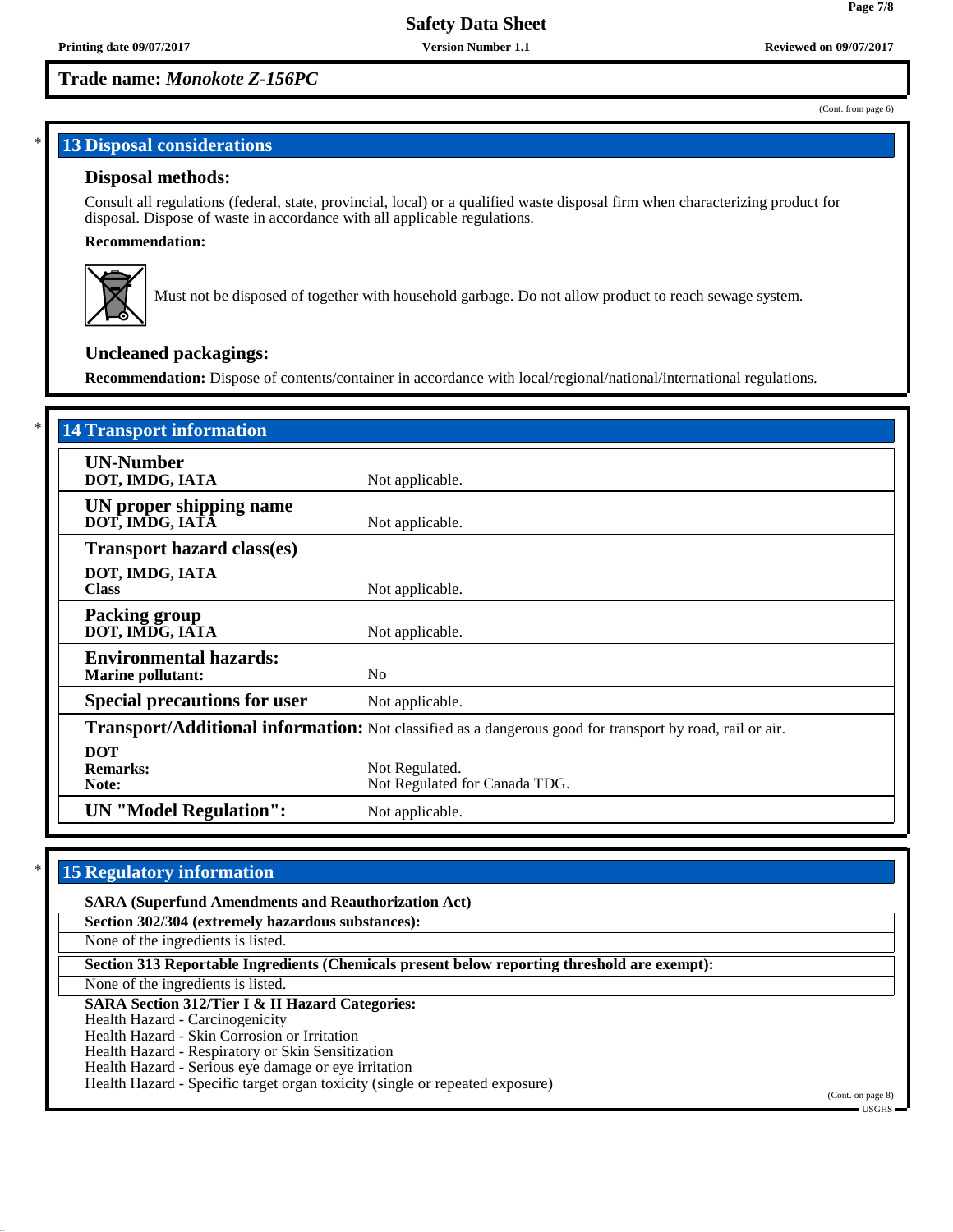# **Trade name:** *Monokote Z-156PC*

#### (Cont. from page 6)

**Page 7/8**

# **13 Disposal considerations**

## **Disposal methods:**

Consult all regulations (federal, state, provincial, local) or a qualified waste disposal firm when characterizing product for disposal. Dispose of waste in accordance with all applicable regulations.

## **Recommendation:**



Must not be disposed of together with household garbage. Do not allow product to reach sewage system.

# **Uncleaned packagings:**

**Recommendation:** Dispose of contents/container in accordance with local/regional/national/international regulations.

| <b>14 Transport information</b>                           |                                                                                                          |
|-----------------------------------------------------------|----------------------------------------------------------------------------------------------------------|
| <b>UN-Number</b><br>DOT, IMDG, IATA                       | Not applicable.                                                                                          |
| UN proper shipping name<br>DOT, IMDG, IATĀ                | Not applicable.                                                                                          |
| <b>Transport hazard class(es)</b>                         |                                                                                                          |
| DOT, IMDG, IATA<br><b>Class</b>                           | Not applicable.                                                                                          |
| <b>Packing group</b><br>DOT, IMDG, IATA                   | Not applicable.                                                                                          |
| <b>Environmental hazards:</b><br><b>Marine pollutant:</b> | N <sub>0</sub>                                                                                           |
| <b>Special precautions for user</b>                       | Not applicable.                                                                                          |
|                                                           | Transport/Additional information: Not classified as a dangerous good for transport by road, rail or air. |
| <b>DOT</b><br><b>Remarks:</b><br>Note:                    | Not Regulated.<br>Not Regulated for Canada TDG.                                                          |
| <b>UN</b> "Model Regulation":                             | Not applicable.                                                                                          |

# **15 Regulatory information**

| <b>SARA (Superfund Amendments and Reauthorization Act)</b>                                   |                   |
|----------------------------------------------------------------------------------------------|-------------------|
| Section 302/304 (extremely hazardous substances):                                            |                   |
| None of the ingredients is listed.                                                           |                   |
| Section 313 Reportable Ingredients (Chemicals present below reporting threshold are exempt): |                   |
| None of the ingredients is listed.                                                           |                   |
| <b>SARA Section 312/Tier I &amp; II Hazard Categories:</b>                                   |                   |
| Health Hazard - Carcinogenicity                                                              |                   |
| Health Hazard - Skin Corrosion or Irritation                                                 |                   |
| Health Hazard - Respiratory or Skin Sensitization                                            |                   |
| Health Hazard - Serious eye damage or eye irritation                                         |                   |
| Health Hazard - Specific target organ toxicity (single or repeated exposure)                 |                   |
|                                                                                              | (Cont. on page 8) |
|                                                                                              | $-$ usghs $-$     |